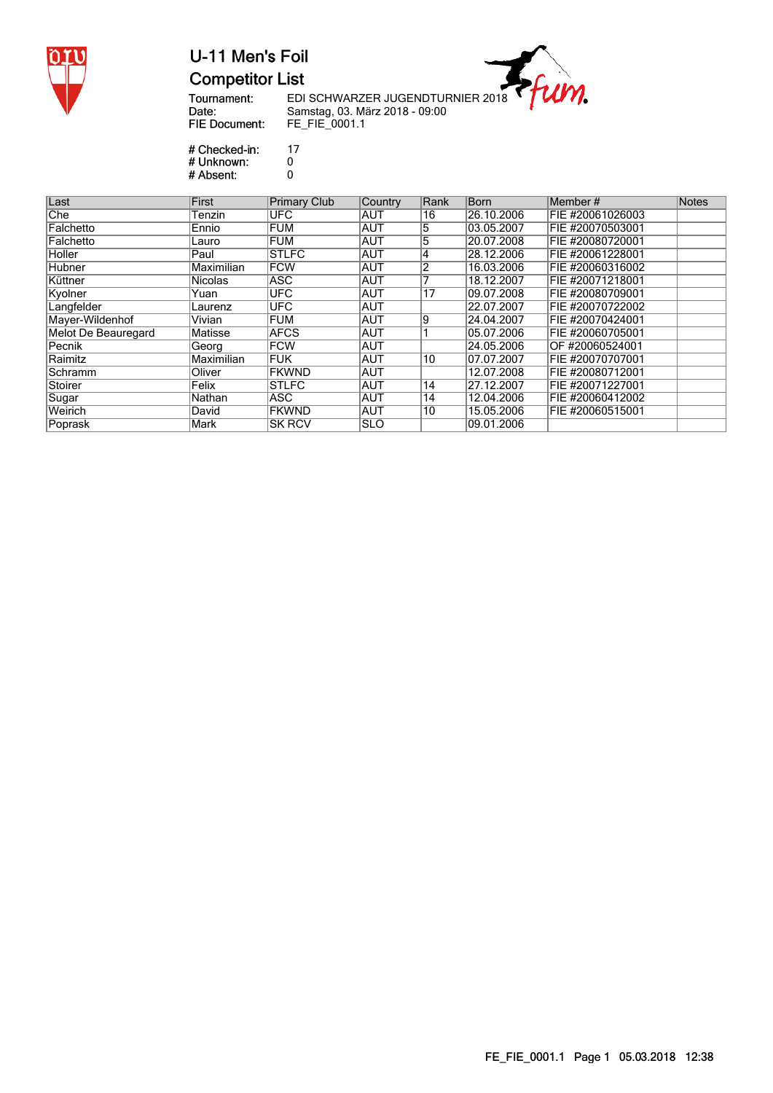

### U-11 Men's Foil **Competitor List**

Tournament:<br>Date: **FIE Document:**  ---<br>EDI SCHWARZER JUGENDTURNIER 2018<br>Samstag, 03. März 2018 - 09:00<br>FE\_FIE\_0001.1

m.

# Checked-in:<br># Unknown: # Absent:

 $17$  $\overline{0}$ <br> $0$ 

| Last                       | First          | <b>Primary Club</b> | Country    | Rank | Born       | Member#          | Notes |
|----------------------------|----------------|---------------------|------------|------|------------|------------------|-------|
| Che                        | Tenzin         | <b>UFC</b>          | <b>AUT</b> | 16   | 26.10.2006 | FIE #20061026003 |       |
| Falchetto                  | Ennio          | <b>FUM</b>          | <b>AUT</b> | :5   | 03.05.2007 | FIE #20070503001 |       |
| Falchetto                  | Lauro          | <b>FUM</b>          | <b>AUT</b> | 5    | 20.07.2008 | FIE #20080720001 |       |
| Holler                     | Paul           | <b>STLFC</b>        | <b>AUT</b> | 4    | 28.12.2006 | FIE #20061228001 |       |
| Hubner                     | Maximilian     | <b>FCW</b>          | <b>AUT</b> |      | 16.03.2006 | FIE #20060316002 |       |
| Küttner                    | <b>Nicolas</b> | <b>ASC</b>          | <b>AUT</b> |      | 18.12.2007 | FIE #20071218001 |       |
| Kyolner                    | Yuan           | <b>UFC</b>          | <b>AUT</b> | 17   | 09.07.2008 | FIE #20080709001 |       |
| Langfelder                 | Laurenz        | <b>UFC</b>          | <b>AUT</b> |      | 22.07.2007 | FIE #20070722002 |       |
| Mayer-Wildenhof            | Vivian         | <b>FUM</b>          | <b>AUT</b> | 9    | 24.04.2007 | FIE #20070424001 |       |
| <b>Melot De Beauregard</b> | Matisse        | <b>AFCS</b>         | <b>AUT</b> |      | 05.07.2006 | FIE #20060705001 |       |
| Pecnik                     | Georg          | <b>FCW</b>          | <b>AUT</b> |      | 24.05.2006 | OF #20060524001  |       |
| Raimitz                    | Maximilian     | <b>FUK</b>          | <b>AUT</b> | 10   | 07.07.2007 | FIE #20070707001 |       |
| Schramm                    | Oliver         | <b>FKWND</b>        | <b>AUT</b> |      | 12.07.2008 | FIE #20080712001 |       |
| Stoirer                    | Felix          | <b>STLFC</b>        | <b>AUT</b> | 14   | 27.12.2007 | FIE #20071227001 |       |
| Sugar                      | Nathan         | <b>ASC</b>          | AUT        | 14   | 12.04.2006 | FIE #20060412002 |       |
| Weirich                    | David          | <b>FKWND</b>        | <b>AUT</b> | 10   | 15.05.2006 | FIE #20060515001 |       |
| Poprask                    | Mark           | <b>SK RCV</b>       | <b>SLO</b> |      | 09.01.2006 |                  |       |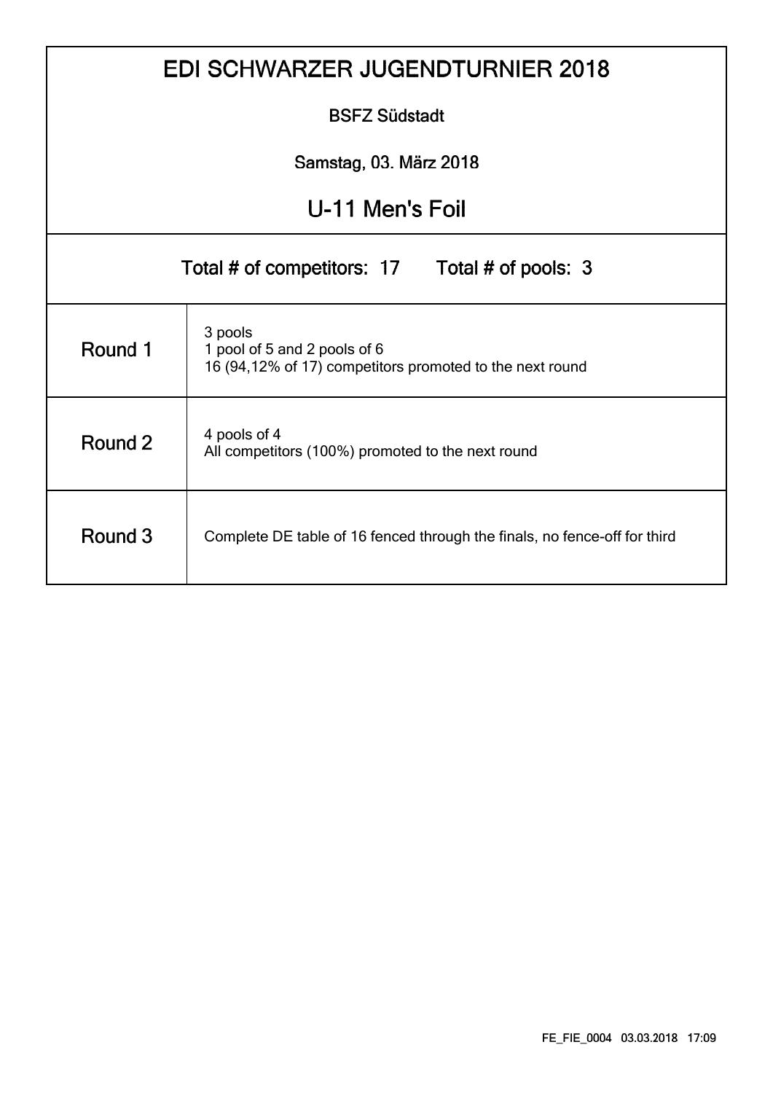|                                                | <b>EDI SCHWARZER JUGENDTURNIER 2018</b>                                                             |  |  |  |  |  |  |  |  |  |  |
|------------------------------------------------|-----------------------------------------------------------------------------------------------------|--|--|--|--|--|--|--|--|--|--|
|                                                | <b>BSFZ Südstadt</b>                                                                                |  |  |  |  |  |  |  |  |  |  |
|                                                | Samstag, 03. März 2018                                                                              |  |  |  |  |  |  |  |  |  |  |
| U-11 Men's Foil                                |                                                                                                     |  |  |  |  |  |  |  |  |  |  |
| Total # of competitors: 17 Total # of pools: 3 |                                                                                                     |  |  |  |  |  |  |  |  |  |  |
| Round 1                                        | 3 pools<br>1 pool of 5 and 2 pools of 6<br>16 (94,12% of 17) competitors promoted to the next round |  |  |  |  |  |  |  |  |  |  |
| Round 2                                        | 4 pools of 4<br>All competitors (100%) promoted to the next round                                   |  |  |  |  |  |  |  |  |  |  |
| Round 3                                        | Complete DE table of 16 fenced through the finals, no fence-off for third                           |  |  |  |  |  |  |  |  |  |  |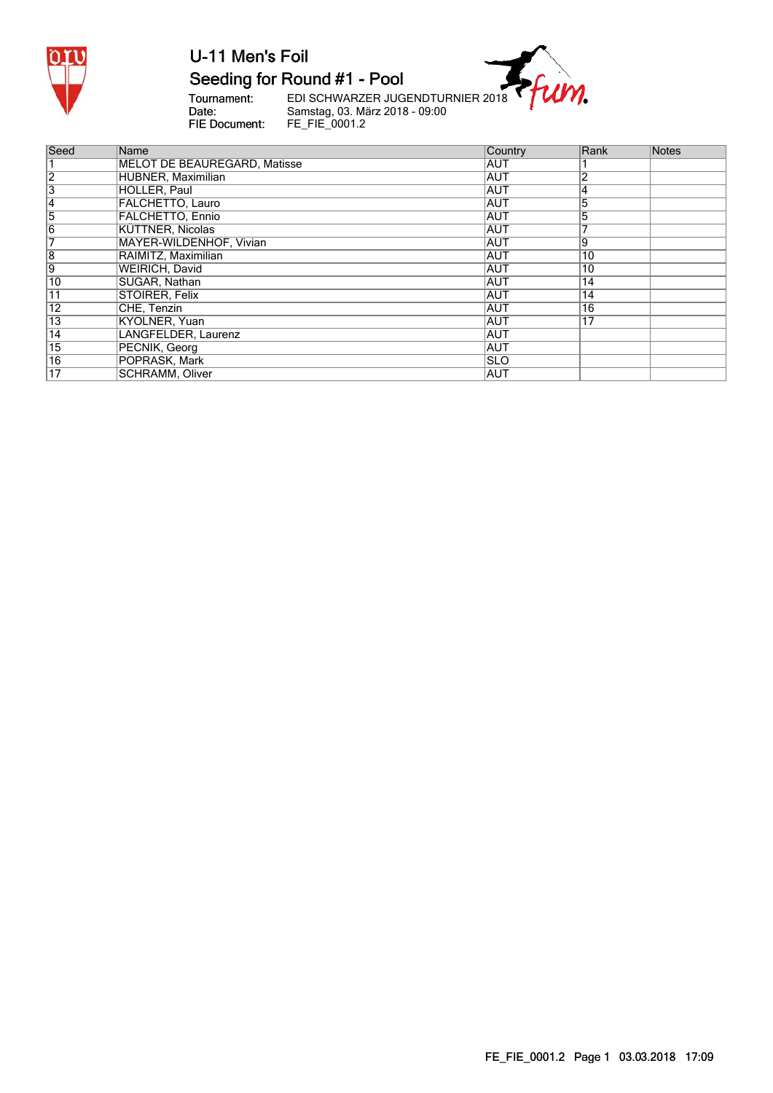

#### Seeding for Round #1 - Pool

Tournament:<br>Date:<br>FIE Document:

EDI SCHWARZER JUGENDTURNIER 2018<br>Samstag, 03. März 2018 - 09:00<br>FE\_FIE\_0001.2

 $\eta$ .

| Seed            | Name                         | <b>Country</b> | Rank            | <b>Notes</b> |
|-----------------|------------------------------|----------------|-----------------|--------------|
|                 | MELOT DE BEAUREGARD, Matisse | <b>AUT</b>     |                 |              |
| $\overline{2}$  | HUBNER, Maximilian           | <b>AUT</b>     |                 |              |
| '3              | HOLLER, Paul                 | <b>AUT</b>     |                 |              |
| 14              | <b>FALCHETTO, Lauro</b>      | <b>AUT</b>     | 5               |              |
| 5               | <b>FALCHETTO, Ennio</b>      | <b>AUT</b>     | 5               |              |
| 6               | KÜTTNER, Nicolas             | <b>AUT</b>     |                 |              |
|                 | MAYER-WILDENHOF, Vivian      | <b>AUT</b>     | 9               |              |
| $\overline{8}$  | RAIMITZ, Maximilian          | <b>AUT</b>     | 10              |              |
| 9               | WEIRICH, David               | <b>AUT</b>     | 10              |              |
| 10              | SUGAR, Nathan                | IAUT           | 14              |              |
| 11              | STOIRER, Felix               | AUT            | 14              |              |
| 12              | CHE, Tenzin                  | <b>AUT</b>     | 16              |              |
| $\overline{13}$ | KYOLNER, Yuan                | <b>AUT</b>     | $1\overline{7}$ |              |
| $\overline{14}$ | LANGFELDER, Laurenz          | <b>AUT</b>     |                 |              |
| $\overline{15}$ | PECNIK, Georg                | <b>AUT</b>     |                 |              |
| $\overline{16}$ | POPRASK, Mark                | ISLO           |                 |              |
| 17              | SCHRAMM, Oliver              | AUT            |                 |              |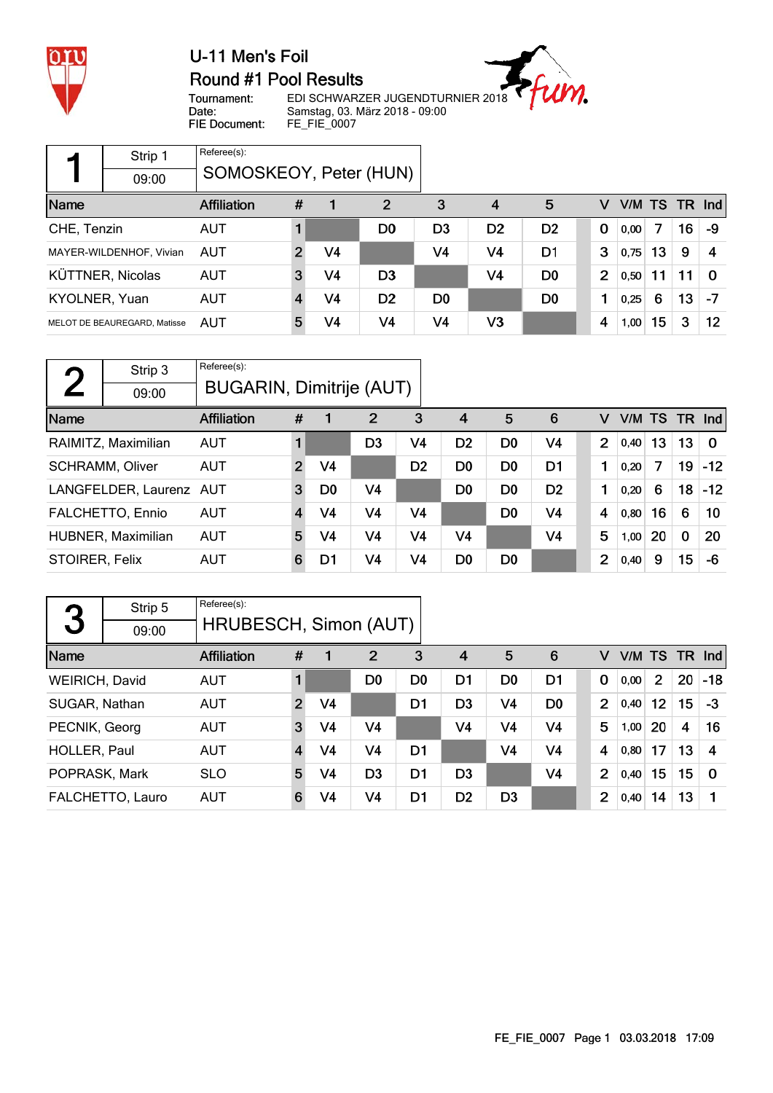

#### U-11 Men's Foil Round #1 Pool Results

 $\eta$ .

Tournament: Date: FIE Document:

EDI SCHWARZER JUGENDTURNIER 2018 Samstag, 03. März 2018 - 09:00 FE\_FIE\_0007

|               | Strip 1                      | Referee(s):            |   |                |                |                |                |                |                |           |    |    |            |
|---------------|------------------------------|------------------------|---|----------------|----------------|----------------|----------------|----------------|----------------|-----------|----|----|------------|
|               | 09:00                        | SOMOSKEOY, Peter (HUN) |   |                |                |                |                |                |                |           |    |    |            |
| Name          |                              | <b>Affiliation</b>     | # | 1              | 2              | 3              | 4              | 5              | v              | V/M TS TR |    |    | <b>Ind</b> |
| CHE, Tenzin   |                              | <b>AUT</b>             |   |                | D0             | D <sub>3</sub> | D <sub>2</sub> | D <sub>2</sub> | $\mathbf 0$    | 0,00      | 7  | 16 | -9         |
|               | MAYER-WILDENHOF, Vivian      | AUT                    | 2 | V4             |                | V4             | V <sub>4</sub> | D1             | 3              | 0,75      | 13 | 9  | 4          |
|               | <b>KÜTTNER, Nicolas</b>      | <b>AUT</b>             | 3 | V <sub>4</sub> | D <sub>3</sub> |                | V <sub>4</sub> | D <sub>0</sub> | $\overline{2}$ | 0,50      | 11 | 11 | $\Omega$   |
| KYOLNER, Yuan |                              | <b>AUT</b>             | 4 | V <sub>4</sub> | D <sub>2</sub> | D <sub>0</sub> |                | D <sub>0</sub> | 1              | 0,25      | 6  | 13 | -7         |
|               | MELOT DE BEAUREGARD, Matisse | AUT                    | 5 | V4             | V <sub>4</sub> | V4             | V3             |                | 4              | 1,00      | 15 | 3  | 12         |

| η              | Strip 3                 | Referee(s):                     |                         |                |    |                |                |                |                |                |        |    |             |          |
|----------------|-------------------------|---------------------------------|-------------------------|----------------|----|----------------|----------------|----------------|----------------|----------------|--------|----|-------------|----------|
|                | 09:00                   | <b>BUGARIN, Dimitrije (AUT)</b> |                         |                |    |                |                |                |                |                |        |    |             |          |
| Name           |                         | <b>Affiliation</b>              | #                       |                | 2  | 3              | $\overline{4}$ | 5              | 6              | v              | V/M TS |    |             | $TR$ Ind |
|                | RAIMITZ, Maximilian     | <b>AUT</b>                      | $\blacksquare$          |                | D3 | V4             | D <sub>2</sub> | D <sub>0</sub> | V4             | $\overline{2}$ | 0,40   | 13 | 13          | $\Omega$ |
|                | <b>SCHRAMM, Oliver</b>  | <b>AUT</b>                      | $\overline{2}$          | V <sub>4</sub> |    | D <sub>2</sub> | D <sub>0</sub> | D <sub>0</sub> | D <sub>1</sub> |                | 0,20   | 7  | 19          | $-12$    |
|                | LANGFELDER, Laurenz AUT |                                 | 3                       | D <sub>0</sub> | V4 |                | D <sub>0</sub> | D <sub>0</sub> | D <sub>2</sub> | 1              | 0,20   | 6  | 18          | $-12$    |
|                | FALCHETTO, Ennio        | <b>AUT</b>                      | $\overline{\mathbf{4}}$ | V4             | V4 | V <sub>4</sub> |                | D <sub>0</sub> | V <sub>4</sub> | 4              | 0,80   | 16 | 6           | 10       |
|                | HUBNER, Maximilian      | <b>AUT</b>                      | 5                       | V <sub>4</sub> | V4 | V4             | V <sub>4</sub> |                | V <sub>4</sub> | 5              | 1,00   | 20 | $\mathbf 0$ | 20       |
| STOIRER, Felix |                         | <b>AUT</b>                      | 6                       | D1             | V4 | V <sub>4</sub> | D <sub>0</sub> | D <sub>0</sub> |                | $\overline{2}$ | 0,40   | 9  | 15          | -6       |

|                | Strip 5          | Referee(s):           |                |                |                |                |                |                |                |                |      |                 |                    |             |
|----------------|------------------|-----------------------|----------------|----------------|----------------|----------------|----------------|----------------|----------------|----------------|------|-----------------|--------------------|-------------|
| 3              | 09:00            | HRUBESCH, Simon (AUT) |                |                |                |                |                |                |                |                |      |                 |                    |             |
| Name           |                  | <b>Affiliation</b>    | #              |                | $\overline{2}$ | 3              | 4              | 5              | 6              | v              | V/M  | <b>TS</b>       |                    | $TR$ Ind    |
| WEIRICH, David |                  | <b>AUT</b>            | 1              |                | D <sub>0</sub> | D0             | D1             | D <sub>0</sub> | D <sub>1</sub> | $\mathbf 0$    | 0,00 | $\overline{2}$  | 20                 | $-18$       |
| SUGAR, Nathan  |                  | <b>AUT</b>            | $\overline{2}$ | V4             |                | D1             | D <sub>3</sub> | V <sub>4</sub> | D <sub>0</sub> | 2              | 0,40 | 12 <sub>2</sub> | 15                 | -3          |
| PECNIK, Georg  |                  | <b>AUT</b>            | 3              | V <sub>4</sub> | V <sub>4</sub> |                | V <sub>4</sub> | V <sub>4</sub> | V4             | 5              | 1,00 | 20              | $\overline{\bf 4}$ | 16          |
| HOLLER, Paul   |                  | <b>AUT</b>            | $\overline{4}$ | V4             | V <sub>4</sub> | D <sub>1</sub> |                | V <sub>4</sub> | V4             | 4              | 0,80 | 17              | 13                 | 4           |
| POPRASK, Mark  |                  | <b>SLO</b>            | 5              | V4             | D <sub>3</sub> | D <sub>1</sub> | D <sub>3</sub> |                | V <sub>4</sub> | $\overline{2}$ | 0,40 | 15              | 15                 | $\mathbf 0$ |
|                | FALCHETTO, Lauro | <b>AUT</b>            | 6              | V4             | V <sub>4</sub> | D <sub>1</sub> | D <sub>2</sub> | D <sub>3</sub> |                | 2              | 0,40 | 14              | 13                 |             |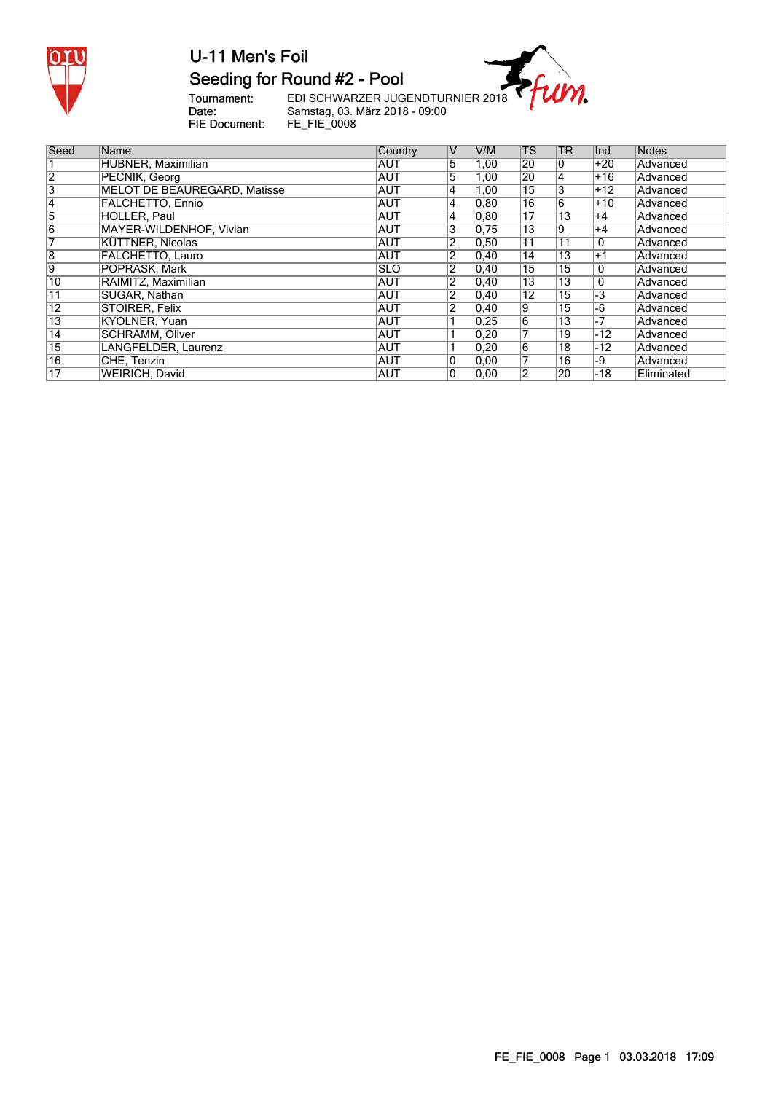

## Seeding for Round #2 - Pool

Tournament:<br>Date:<br>FIE Document:

EDI SCHWARZER JUGENDTURNIER 2018<br>Samstag, 03. März 2018 - 09:00<br>FE\_FIE\_0008

m.

| Seed                    | Name                                | Country    | $\vee$         | V/M            | <b>TS</b>       | <b>TR</b>       | Ind   | Notes      |
|-------------------------|-------------------------------------|------------|----------------|----------------|-----------------|-----------------|-------|------------|
|                         | HUBNER, Maximilian                  | <b>AUT</b> | 5              | 1,00           | 20              | 10              | $+20$ | Advanced   |
| $\overline{2}$          | PECNIK, Georg                       | <b>AUT</b> | 5              | 1,00           | 20              | 4               | $+16$ | Advanced   |
| $\overline{\mathbf{3}}$ | <b>MELOT DE BEAUREGARD, Matisse</b> | <b>AUT</b> | 14             | 1,00           | 15              | 3               | $+12$ | Advanced   |
| 14                      | <b>FALCHETTO, Ennio</b>             | <b>AUT</b> | 14             | 0, 80          | 16              | 6               | $+10$ | Advanced   |
| 5                       | HOLLER, Paul                        | <b>AUT</b> | 14             | 0, 80          | 17              | 13              | $+4$  | Advanced   |
| 6                       | MAYER-WILDENHOF, Vivian             | <b>AUT</b> | 3              | 0.75           | 13              | 9               | $+4$  | Advanced   |
|                         | KÜTTNER, Nicolas                    | <b>AUT</b> | 2              | 0, 50          | 11              | $1\overline{1}$ | 0     | Advanced   |
| $\overline{8}$          | FALCHETTO, Lauro                    | AUT        | 2              | 0,40           | 14              | 13              | $+1$  | Advanced   |
| 9                       | POPRASK, Mark                       | <b>SLO</b> | $\overline{2}$ | 0,40           | 15              | 15              | 0     | Advanced   |
| 10                      | RAIMITZ, Maximilian                 | <b>AUT</b> | 2              | 0,40           | 13              | 13              | 0     | Advanced   |
| 11                      | SUGAR, Nathan                       | <b>AUT</b> | 2              | 0,40           | $1\overline{2}$ | 15              | $-3$  | Advanced   |
| $\overline{12}$         | <b>STOIRER, Felix</b>               | <b>AUT</b> | $\overline{2}$ | $ 0,40\rangle$ | 9               | 15              | $-6$  | Advanced   |
| $\overline{13}$         | KYOLNER, Yuan                       | <b>AUT</b> |                | 0,25           | $\overline{6}$  | $\overline{13}$ | $-7$  | Advanced   |
| $\overline{14}$         | <b>SCHRAMM, Oliver</b>              | <b>AUT</b> |                | 0,20           |                 | 19              | $-12$ | Advanced   |
| $\overline{15}$         | LANGFELDER, Laurenz                 | <b>AUT</b> |                | 0,20           | $\overline{6}$  | 18              | $-12$ | Advanced   |
| $\overline{16}$         | CHE, Tenzin                         | <b>AUT</b> | 10             | 0,00           |                 | 16              | -9    | Advanced   |
| $1\overline{7}$         | <b>WEIRICH, David</b>               | <b>AUT</b> | 10             | 0.00           | 2               | 20              | -18   | Eliminated |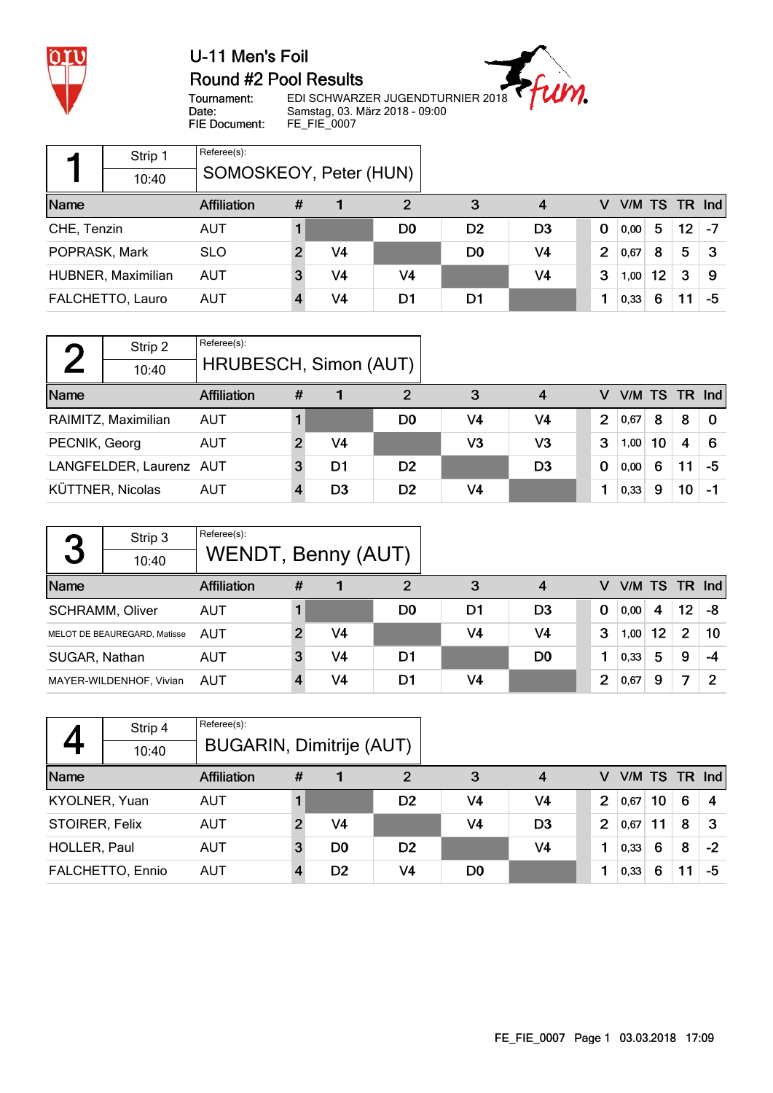

#### U-11 Men's Foil Round #2 Pool Results



Tournament: Date: FIE Document:

EDI SCHWARZER JUGENDTURNIER 2018 Samstag, 03. März 2018 - 09:00 FE\_FIE\_0007

|               | Strip 1            | Referee(s):            |   |    |                |                |                |                |      |    |                 |                 |
|---------------|--------------------|------------------------|---|----|----------------|----------------|----------------|----------------|------|----|-----------------|-----------------|
|               | 10:40              | SOMOSKEOY, Peter (HUN) |   |    |                |                |                |                |      |    |                 |                 |
| Name          |                    | <b>Affiliation</b>     | # |    |                | 3              | 4              |                |      |    |                 | V/M TS TR $Ind$ |
| CHE, Tenzin   |                    | <b>AUT</b>             |   |    | D <sub>0</sub> | D <sub>2</sub> | D <sub>3</sub> | 0              | 0,00 | 5. | 12 <sup>°</sup> | -7              |
| POPRASK, Mark |                    | <b>SLO</b>             |   | V4 |                | D <sub>0</sub> | V4             | $\overline{2}$ | 0,67 | 8  | 5               | З               |
|               | HUBNER, Maximilian | <b>AUT</b>             | 3 | V4 | V <sub>4</sub> |                | V <sub>4</sub> | 3              | 1,00 | 12 | 3               | 9               |
|               | FALCHETTO, Lauro   | AUT                    |   | V4 | D1             | D1             |                |                | 0,33 | 6  |                 | -5              |

|               | Strip 2                 | Referee(s):           |   |                |                |                |                |             |   |                 |    |    |    |
|---------------|-------------------------|-----------------------|---|----------------|----------------|----------------|----------------|-------------|---|-----------------|----|----|----|
|               | 10:40                   | HRUBESCH, Simon (AUT) |   |                |                |                |                |             |   |                 |    |    |    |
| Name          |                         | <b>Affiliation</b>    | # |                | 2              | 3              | 4              |             | V | $V/M$ TS TR Ind |    |    |    |
|               | RAIMITZ, Maximilian     | <b>AUT</b>            |   |                | D <sub>0</sub> | V4             | V <sub>4</sub> |             | 2 | 0.67            | 8  | 8  | 0  |
| PECNIK, Georg |                         | AUT                   |   | V <sub>4</sub> |                | V3             | V3             |             | 3 | 1,00            | 10 | 4  | 6  |
|               | LANGFELDER, Laurenz AUT |                       |   | D <sub>1</sub> | D <sub>2</sub> |                | D <sub>3</sub> | $\mathbf 0$ |   | 0,00            | 6  |    | -5 |
|               | KÜTTNER, Nicolas        | AUT                   |   | D <sub>3</sub> | D <sub>2</sub> | V <sub>4</sub> |                |             |   | 0,33            | 9  | 10 |    |

|               | Strip 3                      | Referee(s):        |   |    |    |                |                |                |      |    |                 |                 |
|---------------|------------------------------|--------------------|---|----|----|----------------|----------------|----------------|------|----|-----------------|-----------------|
| 3             | 10:40                        | WENDT, Benny (AUT) |   |    |    |                |                |                |      |    |                 |                 |
| Name          |                              | <b>Affiliation</b> | # |    | 2  | 3              | 4              | v              |      |    |                 | V/M TS TR $Ind$ |
|               | <b>SCHRAMM, Oliver</b>       | <b>AUT</b>         |   |    | D0 | D1             | D <sub>3</sub> | $\bf{0}$       | 0,00 | 4  | 12 <sup>°</sup> | -8              |
|               | MELOT DE BEAUREGARD, Matisse | AUT                |   | V4 |    | V <sub>4</sub> | V4             | 3              | 1,00 | 12 | $\overline{2}$  | 10              |
| SUGAR, Nathan |                              | AUT                | 3 | V4 | D1 |                | D <sub>0</sub> |                | 0,33 | 5  | 9               | -4              |
|               | MAYER-WILDENHOF, Vivian      | AUT                |   | V4 | D1 | V <sub>4</sub> |                | $\overline{2}$ | 0,67 | 9  | 7               | $\mathcal P$    |

|                | Strip 4          | Referee(s):              |   |                |                |                |                |                |               |    |   |      |
|----------------|------------------|--------------------------|---|----------------|----------------|----------------|----------------|----------------|---------------|----|---|------|
|                | 10:40            | BUGARIN, Dimitrije (AUT) |   |                |                |                |                |                |               |    |   |      |
| Name           |                  | <b>Affiliation</b>       | # |                | 2              | 3              | 4              | v              | V/M TS TR Ind |    |   |      |
| KYOLNER, Yuan  |                  | <b>AUT</b>               |   |                | D <sub>2</sub> | V4             | V4             | $\overline{2}$ | 0,67          | 10 | 6 |      |
| STOIRER, Felix |                  | <b>AUT</b>               |   | V4             |                | V4             | D <sub>3</sub> | 2              | 0,67          |    | 8 | З    |
| HOLLER, Paul   |                  | <b>AUT</b>               | 3 | D0             | D <sub>2</sub> |                | V <sub>4</sub> |                | 0,33          | 6  | 8 | $-2$ |
|                | FALCHETTO, Ennio | <b>AUT</b>               |   | D <sub>2</sub> | V4             | D <sub>0</sub> |                |                | 0,33          | 6  |   | -5   |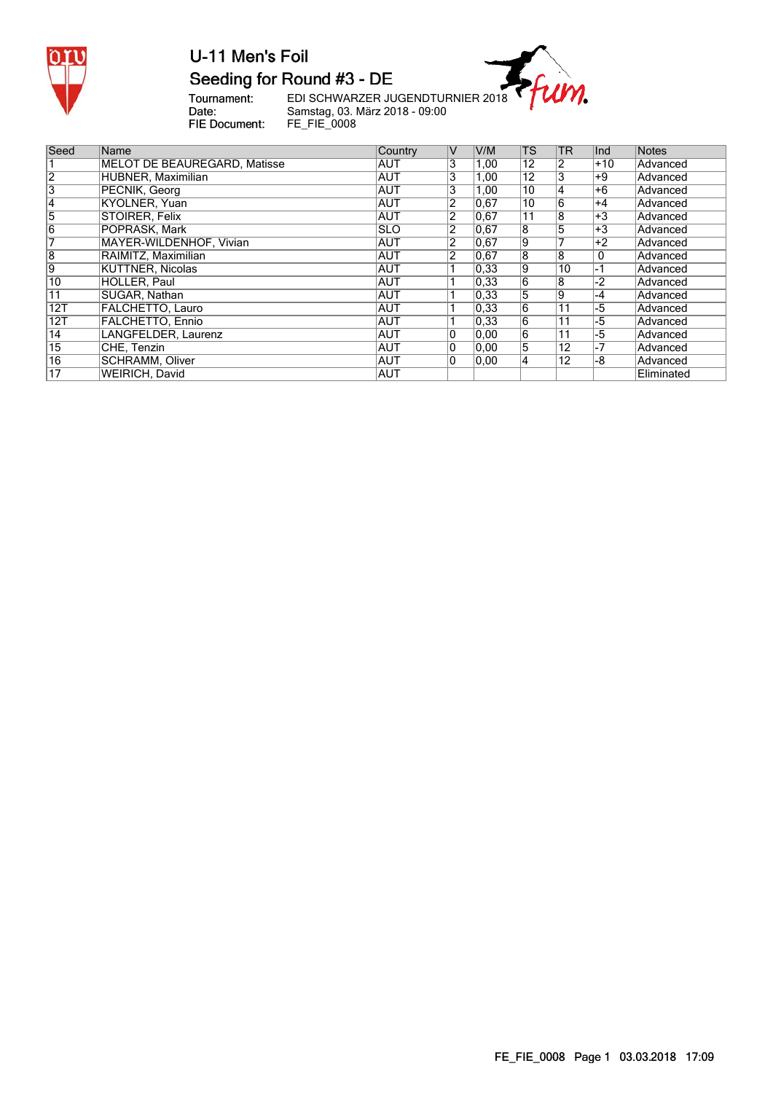

### U-11 Men's Foil Seeding for Round #3 - DE

m.

Tournament:<br>Date:<br>FIE Document:

EDI SCHWARZER JUGENDTURNIER 2018 Samstag, 03. März 2018 - 09:00 FE\_FIE\_0008

| Seed            | Name                         | Country     | IV             | V/M  | <b>TS</b>       | <b>TR</b>       | Ind   | Notes      |
|-----------------|------------------------------|-------------|----------------|------|-----------------|-----------------|-------|------------|
|                 | MELOT DE BEAUREGARD, Matisse | IAUT        | 3              | 1,00 | $1\overline{2}$ |                 | $+10$ | Advanced   |
| $\overline{2}$  | HUBNER, Maximilian           | <b>AUT</b>  | 3              | 1,00 | 12              | 3               | +9    | Advanced   |
| '3              | PECNIK, Georg                | <b>AUT</b>  | 13             | 1,00 | 10              | 4               | +6    | Advanced   |
| 14              | KYOLNER, Yuan                | <b>AUT</b>  | 2              | 0,67 | 10              | 6               | $+4$  | Advanced   |
| 5               | STOIRER, Felix               | <b>AUT</b>  | 2              | 0,67 | 11              | 8               | $+3$  | Advanced   |
| 6               | POPRASK, Mark                | <b>ISLO</b> | 2              | 0,67 | 8               | 5               | $+3$  | Advanced   |
|                 | MAYER-WILDENHOF, Vivian      | <b>AUT</b>  | $\overline{2}$ | 0,67 | 9               |                 | $+2$  | Advanced   |
| $\overline{8}$  | RAIMITZ, Maximilian          | IAUT        | $\overline{2}$ | 0,67 | $\overline{8}$  | $\overline{8}$  | 0     | Advanced   |
| 19              | KÜTTNER, Nicolas             | <b>AUT</b>  |                | 0.33 | Ι9              | 10              | ∣-1   | Advanced   |
| 10              | HOLLER, Paul                 | <b>AUT</b>  |                | 0.33 | $\overline{6}$  | 8               | $-2$  | Advanced   |
| 11              | SUGAR, Nathan                | <b>AUT</b>  |                | 0,33 | 5               | lg.             | -4    | Advanced   |
| 12T             | <b>FALCHETTO, Lauro</b>      | IAUT        |                | 0,33 | 16              | $\overline{11}$ | -5    | Advanced   |
| 12T             | <b>FALCHETTO, Ennio</b>      | <b>AUT</b>  |                | 0,33 | $\overline{6}$  | $\overline{11}$ | -5    | Advanced   |
| 14              | LANGFELDER, Laurenz          | <b>AUT</b>  | 10             | 0,00 | $\overline{6}$  | $\overline{11}$ | -5    | Advanced   |
| $\overline{15}$ | CHE, Tenzin                  | IAUT        | 10             | 0,00 | $\overline{5}$  | $\overline{12}$ | -7    | Advanced   |
| $\overline{16}$ | <b>SCHRAMM, Oliver</b>       | AUT         | 10             | 0,00 | 14              | 12              | -8    | Advanced   |
| 17              | WEIRICH, David               | AUT         |                |      |                 |                 |       | Eliminated |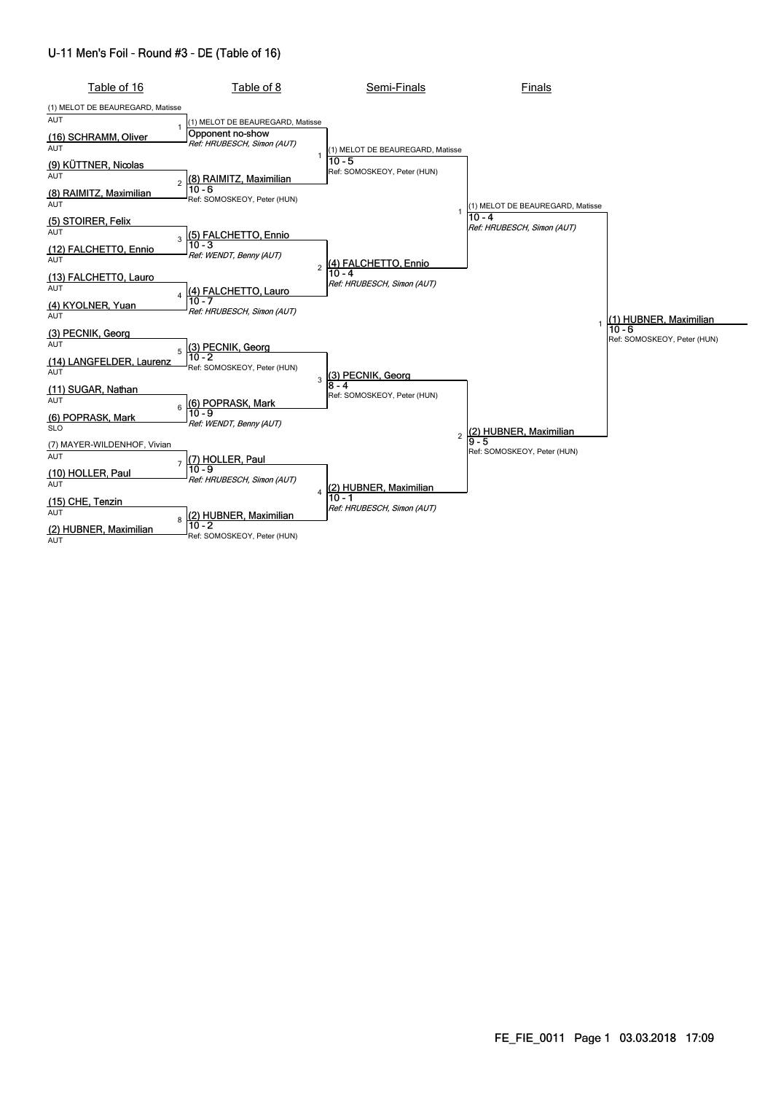#### U-11 Men's Foil - Round #3 - DE (Table of 16)

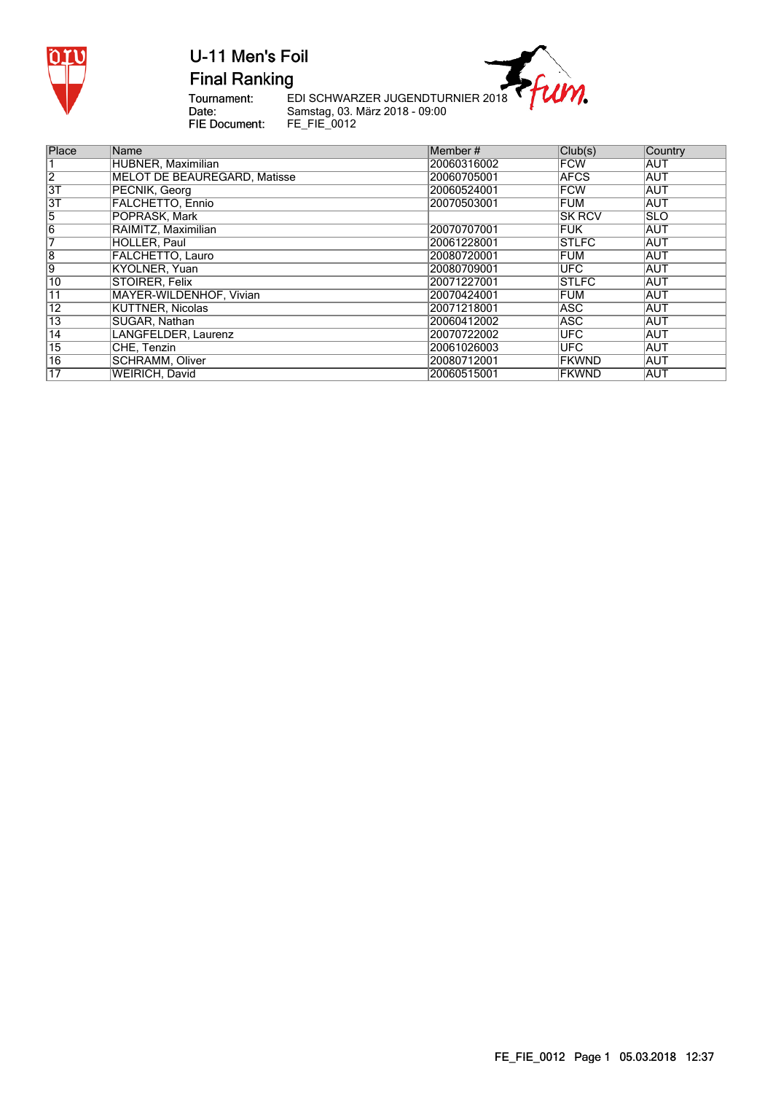

**Final Ranking** 



Tournament:<br>Date:<br>FIE Document:

EDI SCHWARZER JUGENDTURNIER 2018 Samstag, 03. März 2018 - 09:00 FE\_FIE\_0012

| Place           | Name                         | Member#     | Club(s)       | Country    |
|-----------------|------------------------------|-------------|---------------|------------|
|                 | HUBNER, Maximilian           | 20060316002 | <b>FCW</b>    | <b>AUT</b> |
| $\overline{2}$  | MELOT DE BEAUREGARD, Matisse | 20060705001 | <b>AFCS</b>   | <b>AUT</b> |
| 3T              | PECNIK, Georg                | 20060524001 | <b>FCW</b>    | <b>AUT</b> |
| $\overline{3}$  | <b>FALCHETTO, Ennio</b>      | 20070503001 | <b>FUM</b>    | <b>AUT</b> |
| 5               | POPRASK, Mark                |             | <b>SK RCV</b> | <b>SLO</b> |
| $\overline{6}$  | RAIMITZ, Maximilian          | 20070707001 | <b>FUK</b>    | AUT        |
| 7               | HOLLER, Paul                 | 20061228001 | <b>STLFC</b>  | <b>AUT</b> |
| $\overline{8}$  | FALCHETTO, Lauro             | 20080720001 | <b>FUM</b>    | <b>AUT</b> |
| Ι9              | KYOLNER, Yuan                | 20080709001 | <b>UFC</b>    | <b>AUT</b> |
| 10              | STOIRER, Felix               | 20071227001 | <b>STLFC</b>  | <b>AUT</b> |
| 11              | MAYER-WILDENHOF, Vivian      | 20070424001 | <b>FUM</b>    | <b>AUT</b> |
| $\overline{12}$ | <b>KÜTTNER, Nicolas</b>      | 20071218001 | <b>ASC</b>    | <b>AUT</b> |
| $\overline{13}$ | SUGAR, Nathan                | 20060412002 | ASC           | <b>AUT</b> |
| $\overline{14}$ | LANGFELDER, Laurenz          | 20070722002 | <b>UFC</b>    | <b>AUT</b> |
| $\overline{15}$ | CHE, Tenzin                  | 20061026003 | <b>UFC</b>    | <b>AUT</b> |
| $\overline{16}$ | SCHRAMM, Oliver              | 20080712001 | <b>FKWND</b>  | <b>AUT</b> |
| 17              | <b>WEIRICH, David</b>        | 20060515001 | <b>FKWND</b>  | <b>AUT</b> |